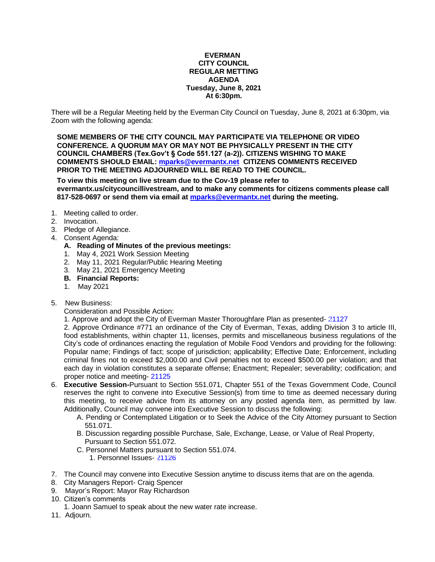#### **EVERMAN CITY COUNCIL REGULAR METTING AGENDA Tuesday, June 8, 2021 At 6:30pm.**

There will be a Regular Meeting held by the Everman City Council on Tuesday, June 8, 2021 at 6:30pm, via Zoom with the following agenda:

**SOME MEMBERS OF THE CITY COUNCIL MAY PARTICIPATE VIA TELEPHONE OR VIDEO CONFERENCE. A QUORUM MAY OR MAY NOT BE PHYSICALLY PRESENT IN THE CITY COUNCIL CHAMBERS (Tex.Gov't § Code 551.127 (a-2)). CITIZENS WISHING TO MAKE COMMENTS SHOULD EMAIL: [mparks@evermantx.net](mailto:mparks@evermantx.net) CITIZENS COMMENTS RECEIVED PRIOR TO THE MEETING ADJOURNED WILL BE READ TO THE COUNCIL.**

**To view this meeting on live stream due to the Cov-19 please refer to evermantx.us/citycouncillivestream, and to make any comments for citizens comments please call 817-528-0697 or send them via email at [mparks@evermantx.net](mailto:mparks@evermantx.net) during the meeting.**

- 1. Meeting called to order.
- 2. Invocation.
- 3. Pledge of Allegiance.
- 4. Consent Agenda:
	- **A. Reading of Minutes of the previous meetings:**
	- 1. May 4, 2021 Work Session Meeting
	- 2. May 11, 2021 Regular/Public Hearing Meeting
	- 3. May 21, 2021 Emergency Meeting
	- **B. Financial Reports:**
	- 1. May 2021
- 5. New Business:

Consideration and Possible Action:

1. Approve and adopt the City of Everman Master Thoroughfare Plan as presented- [21127](#page-11-0)

2. Approve Ordinance #771 an ordinance of the City of Everman, Texas, adding Division 3 to article III, food establishments, within chapter 11, licenses, permits and miscellaneous business regulations of the City's code of ordinances enacting the regulation of Mobile Food Vendors and providing for the following: Popular name; Findings of fact; scope of jurisdiction; applicability; Effective Date; Enforcement, including criminal fines not to exceed \$2,000.00 and Civil penalties not to exceed \$500.00 per violation; and that each day in violation constitutes a separate offense; Enactment; Repealer; severability; codification; and proper notice and meeting- [21125](#page-12-0)

- 6. **Executive Session-**Pursuant to Section 551.071, Chapter 551 of the Texas Government Code, Council reserves the right to convene into Executive Session(s) from time to time as deemed necessary during this meeting, to receive advice from its attorney on any posted agenda item, as permitted by law. Additionally, Council may convene into Executive Session to discuss the following:
	- A. Pending or Contemplated Litigation or to Seek the Advice of the City Attorney pursuant to Section 551.071.
	- B. Discussion regarding possible Purchase, Sale, Exchange, Lease, or Value of Real Property, Pursuant to Section 551.072.
	- C. Personnel Matters pursuant to Section 551.074.
		- 1. Personnel Issues- [21126](#page-14-0)
- 7. The Council may convene into Executive Session anytime to discuss items that are on the agenda.
- 8. City Managers Report- Craig Spencer
- 9. Mayor's Report: Mayor Ray Richardson
- 10. Citizen's comments
	- 1. Joann Samuel to speak about the new water rate increase.
- 11. Adjourn.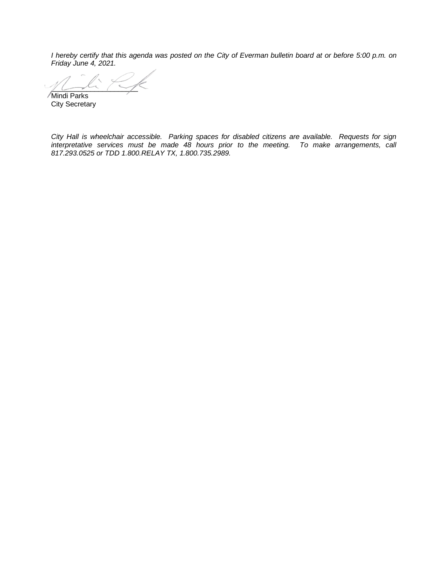*I hereby certify that this agenda was posted on the City of Everman bulletin board at or before 5:00 p.m. on Friday June 4, 2021.*

 $\mathcal{Y} \longmapsto \mathcal{X} \setminus \mathcal{Y}$ Mindi Parks

City Secretary

*City Hall is wheelchair accessible. Parking spaces for disabled citizens are available. Requests for sign interpretative services must be made 48 hours prior to the meeting. To make arrangements, call 817.293.0525 or TDD 1.800.RELAY TX, 1.800.735.2989.*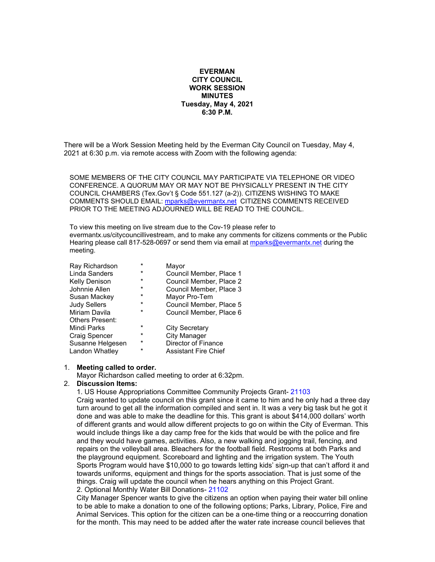#### **EVERMAN CITY COUNCIL WORK SESSION MINUTES Tuesday, May 4, 2021 6:30 P.M.**

There will be a Work Session Meeting held by the Everman City Council on Tuesday, May 4, 2021 at 6:30 p.m. via remote access with Zoom with the following agenda:

SOME MEMBERS OF THE CITY COUNCIL MAY PARTICIPATE VIA TELEPHONE OR VIDEO CONFERENCE. A QUORUM MAY OR MAY NOT BE PHYSICALLY PRESENT IN THE CITY COUNCIL CHAMBERS (Tex.Gov't § Code 551.127 (a-2)). CITIZENS WISHING TO MAKE COMMENTS SHOULD EMAIL: [mparks@evermantx.net](mailto:mparks@evermantx.net) CITIZENS COMMENTS RECEIVED PRIOR TO THE MEETING ADJOURNED WILL BE READ TO THE COUNCIL.

To view this meeting on live stream due to the Cov-19 please refer to evermantx.us/citycouncillivestream, and to make any comments for citizens comments or the Public Hearing please call 817-528-0697 or send them via email at [mparks@evermantx.net](mailto:mparks@evermantx.net) during the meeting.

| $\star$  | Mayor                       |
|----------|-----------------------------|
| $^\star$ | Council Member, Place 1     |
| $\star$  | Council Member, Place 2     |
| $\star$  | Council Member, Place 3     |
| $\star$  | Mayor Pro-Tem               |
| $\star$  | Council Member, Place 5     |
| $\star$  | Council Member, Place 6     |
|          |                             |
| $\star$  | <b>City Secretary</b>       |
| $\star$  | <b>City Manager</b>         |
| $^\star$ | Director of Finance         |
| $\star$  | <b>Assistant Fire Chief</b> |
|          |                             |

#### 1. **Meeting called to order.**

Mayor Richardson called meeting to order at 6:32pm.

#### 2. **Discussion Items:**

1. US House Appropriations Committee Community Projects Grant- 21103

Craig wanted to update council on this grant since it came to him and he only had a three day turn around to get all the information compiled and sent in. It was a very big task but he got it done and was able to make the deadline for this. This grant is about \$414,000 dollars' worth of different grants and would allow different projects to go on within the City of Everman. This would include things like a day camp free for the kids that would be with the police and fire and they would have games, activities. Also, a new walking and jogging trail, fencing, and repairs on the volleyball area. Bleachers for the football field. Restrooms at both Parks and the playground equipment. Scoreboard and lighting and the irrigation system. The Youth Sports Program would have \$10,000 to go towards letting kids' sign-up that can't afford it and towards uniforms, equipment and things for the sports association. That is just some of the things. Craig will update the council when he hears anything on this Project Grant. 2. Optional Monthly Water Bill Donations- 21102

City Manager Spencer wants to give the citizens an option when paying their water bill online to be able to make a donation to one of the following options; Parks, Library, Police, Fire and Animal Services. This option for the citizen can be a one-time thing or a reoccurring donation for the month. This may need to be added after the water rate increase council believes that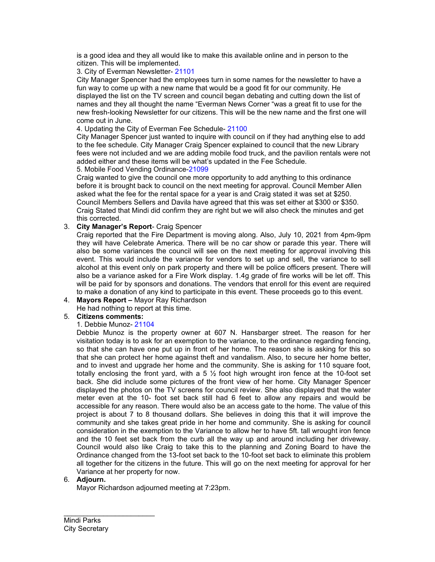is a good idea and they all would like to make this available online and in person to the citizen. This will be implemented.

#### 3. City of Everman Newsletter- 21101

City Manager Spencer had the employees turn in some names for the newsletter to have a fun way to come up with a new name that would be a good fit for our community. He displayed the list on the TV screen and council began debating and cutting down the list of names and they all thought the name "Everman News Corner "was a great fit to use for the new fresh-looking Newsletter for our citizens. This will be the new name and the first one will come out in June.

4. Updating the City of Everman Fee Schedule- 21100

City Manager Spencer just wanted to inquire with council on if they had anything else to add to the fee schedule. City Manager Craig Spencer explained to council that the new Library fees were not included and we are adding mobile food truck, and the pavilion rentals were not added either and these items will be what's updated in the Fee Schedule.

5. Mobile Food Vending Ordinance-21099

Craig wanted to give the council one more opportunity to add anything to this ordinance before it is brought back to council on the next meeting for approval. Council Member Allen asked what the fee for the rental space for a year is and Craig stated it was set at \$250. Council Members Sellers and Davila have agreed that this was set either at \$300 or \$350. Craig Stated that Mindi did confirm they are right but we will also check the minutes and get this corrected.

3. **City Manager's Report**- Craig Spencer

Craig reported that the Fire Department is moving along. Also, July 10, 2021 from 4pm-9pm they will have Celebrate America. There will be no car show or parade this year. There will also be some variances the council will see on the next meeting for approval involving this event. This would include the variance for vendors to set up and sell, the variance to sell alcohol at this event only on park property and there will be police officers present. There will also be a variance asked for a Fire Work display. 1.4g grade of fire works will be let off. This will be paid for by sponsors and donations. The vendors that enroll for this event are required to make a donation of any kind to participate in this event. These proceeds go to this event.

## 4. **Mayors Report –** Mayor Ray Richardson

He had nothing to report at this time.

## 5. **Citizens comments:**

## 1. Debbie Munoz- 21104

Debbie Munoz is the property owner at 607 N. Hansbarger street. The reason for her visitation today is to ask for an exemption to the variance, to the ordinance regarding fencing, so that she can have one put up in front of her home. The reason she is asking for this so that she can protect her home against theft and vandalism. Also, to secure her home better, and to invest and upgrade her home and the community. She is asking for 110 square foot, totally enclosing the front yard, with a 5  $\frac{1}{2}$  foot high wrought iron fence at the 10-foot set back. She did include some pictures of the front view of her home. City Manager Spencer displayed the photos on the TV screens for council review. She also displayed that the water meter even at the 10- foot set back still had 6 feet to allow any repairs and would be accessible for any reason. There would also be an access gate to the home. The value of this project is about 7 to 8 thousand dollars. She believes in doing this that it will improve the community and she takes great pride in her home and community. She is asking for council consideration in the exemption to the Variance to allow her to have 5ft. tall wrought iron fence and the 10 feet set back from the curb all the way up and around including her driveway. Council would also like Craig to take this to the planning and Zoning Board to have the Ordinance changed from the 13-foot set back to the 10-foot set back to eliminate this problem all together for the citizens in the future. This will go on the next meeting for approval for her Variance at her property for now.

## 6. **Adjourn.**

Mayor Richardson adjourned meeting at 7:23pm.

Mindi Parks City Secretary

\_\_\_\_\_\_\_\_\_\_\_\_\_\_\_\_\_\_\_\_\_\_\_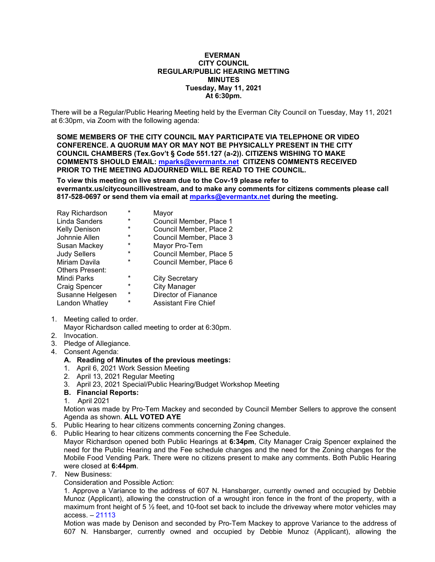#### **EVERMAN CITY COUNCIL REGULAR/PUBLIC HEARING METTING MINUTES Tuesday, May 11, 2021 At 6:30pm.**

There will be a Regular/Public Hearing Meeting held by the Everman City Council on Tuesday, May 11, 2021 at 6:30pm, via Zoom with the following agenda:

**SOME MEMBERS OF THE CITY COUNCIL MAY PARTICIPATE VIA TELEPHONE OR VIDEO CONFERENCE. A QUORUM MAY OR MAY NOT BE PHYSICALLY PRESENT IN THE CITY COUNCIL CHAMBERS (Tex.Gov't § Code 551.127 (a-2)). CITIZENS WISHING TO MAKE COMMENTS SHOULD EMAIL: [mparks@evermantx.net](mailto:mparks@evermantx.net) CITIZENS COMMENTS RECEIVED PRIOR TO THE MEETING ADJOURNED WILL BE READ TO THE COUNCIL.**

**To view this meeting on live stream due to the Cov-19 please refer to evermantx.us/citycouncillivestream, and to make any comments for citizens comments please call 817-528-0697 or send them via email at [mparks@evermantx.net](mailto:mparks@evermantx.net) during the meeting.**

| $\star$ | Mayor                       |
|---------|-----------------------------|
| *       | Council Member, Place 1     |
| *       | Council Member, Place 2     |
| *       | Council Member, Place 3     |
| $\star$ | Mayor Pro-Tem               |
| *       | Council Member, Place 5     |
| *       | Council Member, Place 6     |
|         |                             |
| $\star$ | <b>City Secretary</b>       |
| $\star$ | <b>City Manager</b>         |
| $\star$ | Director of Fianance        |
| *       | <b>Assistant Fire Chief</b> |
|         |                             |

- 1. Meeting called to order.
	- Mayor Richardson called meeting to order at 6:30pm.
- 2. Invocation.
- 3. Pledge of Allegiance.
- 4. Consent Agenda:
	- **A. Reading of Minutes of the previous meetings:**
	- 1. April 6, 2021 Work Session Meeting
	- 2. April 13, 2021 Regular Meeting
	- 3. April 23, 2021 Special/Public Hearing/Budget Workshop Meeting
	- **B. Financial Reports:**
	- 1. April 2021

Motion was made by Pro-Tem Mackey and seconded by Council Member Sellers to approve the consent Agenda as shown. **ALL VOTED AYE**

- 5. Public Hearing to hear citizens comments concerning Zoning changes.
- 6. Public Hearing to hear citizens comments concerning the Fee Schedule.

Mayor Richardson opened both Public Hearings at **6:34pm**, City Manager Craig Spencer explained the need for the Public Hearing and the Fee schedule changes and the need for the Zoning changes for the Mobile Food Vending Park. There were no citizens present to make any comments. Both Public Hearing were closed at **6:44pm**.

7. New Business:

Consideration and Possible Action:

1. Approve a Variance to the address of 607 N. Hansbarger, currently owned and occupied by Debbie Munoz (Applicant), allowing the construction of a wrought iron fence in the front of the property, with a maximum front height of 5  $\frac{1}{2}$  feet, and 10-foot set back to include the driveway where motor vehicles may access. – 21113

Motion was made by Denison and seconded by Pro-Tem Mackey to approve Variance to the address of 607 N. Hansbarger, currently owned and occupied by Debbie Munoz (Applicant), allowing the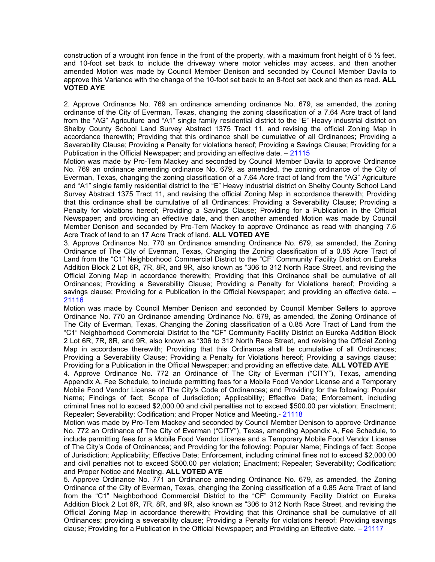construction of a wrought iron fence in the front of the property, with a maximum front height of 5  $\frac{1}{2}$  feet, and 10-foot set back to include the driveway where motor vehicles may access, and then another amended Motion was made by Council Member Denison and seconded by Council Member Davila to approve this Variance with the change of the 10-foot set back to an 8-foot set back and then as read. **ALL VOTED AYE**

2. Approve Ordinance No. 769 an ordinance amending ordinance No. 679, as amended, the zoning ordinance of the City of Everman, Texas, changing the zoning classification of a 7.64 Acre tract of land from the "AG" Agriculture and "A1" single family residential district to the "E" Heavy industrial district on Shelby County School Land Survey Abstract 1375 Tract 11, and revising the official Zoning Map in accordance therewith; Providing that this ordinance shall be cumulative of all Ordinances; Providing a Severability Clause; Providing a Penalty for violations hereof; Providing a Savings Clause; Providing for a Publication in the Official Newspaper; and providing an effective date.  $-21115$ 

Motion was made by Pro-Tem Mackey and seconded by Council Member Davila to approve Ordinance No. 769 an ordinance amending ordinance No. 679, as amended, the zoning ordinance of the City of Everman, Texas, changing the zoning classification of a 7.64 Acre tract of land from the "AG" Agriculture and "A1" single family residential district to the "E" Heavy industrial district on Shelby County School Land Survey Abstract 1375 Tract 11, and revising the official Zoning Map in accordance therewith; Providing that this ordinance shall be cumulative of all Ordinances; Providing a Severability Clause; Providing a Penalty for violations hereof; Providing a Savings Clause; Providing for a Publication in the Official Newspaper; and providing an effective date, and then another amended Motion was made by Council Member Denison and seconded by Pro-Tem Mackey to approve Ordinance as read with changing 7.6 Acre Track of land to an 17 Acre Track of land. **ALL VOTED AYE**

3. Approve Ordinance No. 770 an Ordinance amending Ordinance No. 679, as amended, the Zoning Ordinance of The City of Everman, Texas, Changing the Zoning classification of a 0.85 Acre Tract of Land from the "C1" Neighborhood Commercial District to the "CF" Community Facility District on Eureka Addition Block 2 Lot 6R, 7R, 8R, and 9R, also known as "306 to 312 North Race Street, and revising the Official Zoning Map in accordance therewith; Providing that this Ordinance shall be cumulative of all Ordinances; Providing a Severability Clause; Providing a Penalty for Violations hereof; Providing a savings clause; Providing for a Publication in the Official Newspaper; and providing an effective date. – 21116

Motion was made by Council Member Denison and seconded by Council Member Sellers to approve Ordinance No. 770 an Ordinance amending Ordinance No. 679, as amended, the Zoning Ordinance of The City of Everman, Texas, Changing the Zoning classification of a 0.85 Acre Tract of Land from the "C1" Neighborhood Commercial District to the "CF" Community Facility District on Eureka Addition Block 2 Lot 6R, 7R, 8R, and 9R, also known as "306 to 312 North Race Street, and revising the Official Zoning Map in accordance therewith; Providing that this Ordinance shall be cumulative of all Ordinances; Providing a Severability Clause; Providing a Penalty for Violations hereof; Providing a savings clause; Providing for a Publication in the Official Newspaper; and providing an effective date. **ALL VOTED AYE**

4. Approve Ordinance No. 772 an Ordinance of The City of Everman ("CITY"), Texas, amending Appendix A, Fee Schedule, to include permitting fees for a Mobile Food Vendor License and a Temporary Mobile Food Vendor License of The City's Code of Ordinances; and Providing for the following: Popular Name; Findings of fact; Scope of Jurisdiction; Applicability; Effective Date; Enforcement, including criminal fines not to exceed \$2,000.00 and civil penalties not to exceed \$500.00 per violation; Enactment; Repealer; Severability; Codification; and Proper Notice and Meeting.- 21118

Motion was made by Pro-Tem Mackey and seconded by Council Member Denison to approve Ordinance No. 772 an Ordinance of The City of Everman ("CITY"), Texas, amending Appendix A, Fee Schedule, to include permitting fees for a Mobile Food Vendor License and a Temporary Mobile Food Vendor License of The City's Code of Ordinances; and Providing for the following: Popular Name; Findings of fact; Scope of Jurisdiction; Applicability; Effective Date; Enforcement, including criminal fines not to exceed \$2,000.00 and civil penalties not to exceed \$500.00 per violation; Enactment; Repealer; Severability; Codification; and Proper Notice and Meeting. **ALL VOTED AYE**

5. Approve Ordinance No. 771 an Ordinance amending Ordinance No. 679, as amended, the Zoning Ordinance of the City of Everman, Texas, changing the Zoning classification of a 0.85 Acre Tract of land from the "C1" Neighborhood Commercial District to the "CF" Community Facility District on Eureka Addition Block 2 Lot 6R, 7R, 8R, and 9R, also known as "306 to 312 North Race Street, and revising the Official Zoning Map in accordance therewith; Providing that this Ordinance shall be cumulative of all Ordinances; providing a severability clause; Providing a Penalty for violations hereof; Providing savings clause; Providing for a Publication in the Official Newspaper; and Providing an Effective date. – 21117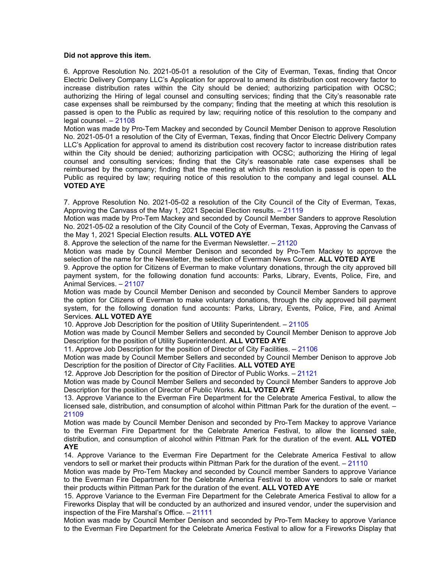#### **Did not approve this item.**

6. Approve Resolution No. 2021-05-01 a resolution of the City of Everman, Texas, finding that Oncor Electric Delivery Company LLC's Application for approval to amend its distribution cost recovery factor to increase distribution rates within the City should be denied; authorizing participation with OCSC; authorizing the Hiring of legal counsel and consulting services; finding that the City's reasonable rate case expenses shall be reimbursed by the company; finding that the meeting at which this resolution is passed is open to the Public as required by law; requiring notice of this resolution to the company and legal counsel. – 21108

Motion was made by Pro-Tem Mackey and seconded by Council Member Denison to approve Resolution No. 2021-05-01 a resolution of the City of Everman, Texas, finding that Oncor Electric Delivery Company LLC's Application for approval to amend its distribution cost recovery factor to increase distribution rates within the City should be denied; authorizing participation with OCSC; authorizing the Hiring of legal counsel and consulting services; finding that the City's reasonable rate case expenses shall be reimbursed by the company; finding that the meeting at which this resolution is passed is open to the Public as required by law; requiring notice of this resolution to the company and legal counsel. **ALL VOTED AYE**

7. Approve Resolution No. 2021-05-02 a resolution of the City Council of the City of Everman, Texas, Approving the Canvass of the May 1, 2021 Special Election results. – 21119

Motion was made by Pro-Tem Mackey and seconded by Council Member Sanders to approve Resolution No. 2021-05-02 a resolution of the City Council of the Coty of Everman, Texas, Approving the Canvass of the May 1, 2021 Special Election results. **ALL VOTED AYE**

8. Approve the selection of the name for the Everman Newsletter. – 21120

Motion was made by Council Member Denison and seconded by Pro-Tem Mackey to approve the selection of the name for the Newsletter, the selection of Everman News Corner. **ALL VOTED AYE**

9. Approve the option for Citizens of Everman to make voluntary donations, through the city approved bill payment system, for the following donation fund accounts: Parks, Library, Events, Police, Fire, and Animal Services. – 21107

Motion was made by Council Member Denison and seconded by Council Member Sanders to approve the option for Citizens of Everman to make voluntary donations, through the city approved bill payment system, for the following donation fund accounts: Parks, Library, Events, Police, Fire, and Animal Services. **ALL VOTED AYE**

10. Approve Job Description for the position of Utility Superintendent. – 21105

Motion was made by Council Member Sellers and seconded by Council Member Denison to approve Job Description for the position of Utility Superintendent. **ALL VOTED AYE**

11. Approve Job Description for the position of Director of City Facilities. – 21106

Motion was made by Council Member Sellers and seconded by Council Member Denison to approve Job Description for the position of Director of City Facilities. **ALL VOTED AYE**

12. Approve Job Description for the position of Director of Public Works. – 21121

Motion was made by Council Member Sellers and seconded by Council Member Sanders to approve Job Description for the position of Director of Public Works. **ALL VOTED AYE**

13. Approve Variance to the Everman Fire Department for the Celebrate America Festival, to allow the licensed sale, distribution, and consumption of alcohol within Pittman Park for the duration of the event. – 21109

Motion was made by Council Member Denison and seconded by Pro-Tem Mackey to approve Variance to the Everman Fire Department for the Celebrate America Festival, to allow the licensed sale, distribution, and consumption of alcohol within Pittman Park for the duration of the event. **ALL VOTED AYE**

14. Approve Variance to the Everman Fire Department for the Celebrate America Festival to allow vendors to sell or market their products within Pittman Park for the duration of the event. – 21110

Motion was made by Pro-Tem Mackey and seconded by Council member Sanders to approve Variance to the Everman Fire Department for the Celebrate America Festival to allow vendors to sale or market their products within Pittman Park for the duration of the event. **ALL VOTED AYE**

15. Approve Variance to the Everman Fire Department for the Celebrate America Festival to allow for a Fireworks Display that will be conducted by an authorized and insured vendor, under the supervision and inspection of the Fire Marshal's Office. – 21111

Motion was made by Council Member Denison and seconded by Pro-Tem Mackey to approve Variance to the Everman Fire Department for the Celebrate America Festival to allow for a Fireworks Display that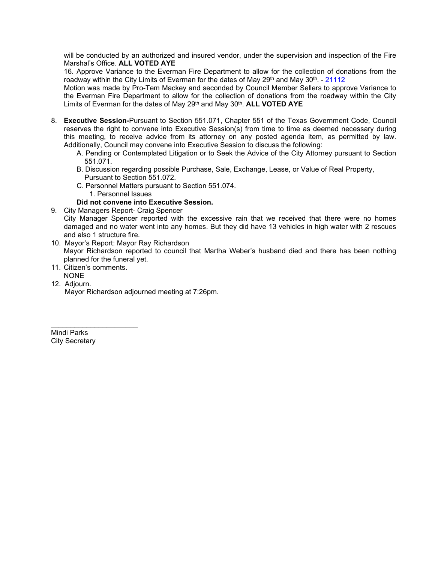will be conducted by an authorized and insured vendor, under the supervision and inspection of the Fire Marshal's Office. **ALL VOTED AYE**

16. Approve Variance to the Everman Fire Department to allow for the collection of donations from the roadway within the City Limits of Everman for the dates of May  $29<sup>th</sup>$  and May  $30<sup>th</sup>$ . - 21112

Motion was made by Pro-Tem Mackey and seconded by Council Member Sellers to approve Variance to the Everman Fire Department to allow for the collection of donations from the roadway within the City Limits of Everman for the dates of May 29th and May 30th. **ALL VOTED AYE**

- 8. **Executive Session-**Pursuant to Section 551.071, Chapter 551 of the Texas Government Code, Council reserves the right to convene into Executive Session(s) from time to time as deemed necessary during this meeting, to receive advice from its attorney on any posted agenda item, as permitted by law. Additionally, Council may convene into Executive Session to discuss the following:
	- A. Pending or Contemplated Litigation or to Seek the Advice of the City Attorney pursuant to Section 551.071.
	- B. Discussion regarding possible Purchase, Sale, Exchange, Lease, or Value of Real Property, Pursuant to Section 551.072.
	- C. Personnel Matters pursuant to Section 551.074.
		- 1. Personnel Issues

## **Did not convene into Executive Session.**

- 9. City Managers Report- Craig Spencer City Manager Spencer reported with the excessive rain that we received that there were no homes damaged and no water went into any homes. But they did have 13 vehicles in high water with 2 rescues and also 1 structure fire.
- 10. Mayor's Report: Mayor Ray Richardson Mayor Richardson reported to council that Martha Weber's husband died and there has been nothing planned for the funeral yet.
- 11. Citizen's comments.

\_\_\_\_\_\_\_\_\_\_\_\_\_\_\_\_\_\_\_\_\_\_

- NONE
- 12. Adjourn.

Mayor Richardson adjourned meeting at 7:26pm.

Mindi Parks City Secretary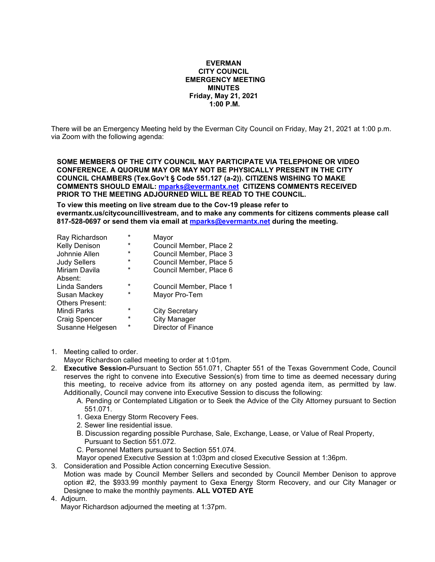#### **EVERMAN CITY COUNCIL EMERGENCY MEETING MINUTES Friday, May 21, 2021 1:00 P.M.**

There will be an Emergency Meeting held by the Everman City Council on Friday, May 21, 2021 at 1:00 p.m. via Zoom with the following agenda:

**SOME MEMBERS OF THE CITY COUNCIL MAY PARTICIPATE VIA TELEPHONE OR VIDEO CONFERENCE. A QUORUM MAY OR MAY NOT BE PHYSICALLY PRESENT IN THE CITY COUNCIL CHAMBERS (Tex.Gov't § Code 551.127 (a-2)). CITIZENS WISHING TO MAKE COMMENTS SHOULD EMAIL: [mparks@evermantx.net](mailto:mparks@evermantx.net) CITIZENS COMMENTS RECEIVED PRIOR TO THE MEETING ADJOURNED WILL BE READ TO THE COUNCIL.**

**To view this meeting on live stream due to the Cov-19 please refer to evermantx.us/citycouncillivestream, and to make any comments for citizens comments please call 817-528-0697 or send them via email at [mparks@evermantx.net](mailto:mparks@evermantx.net) during the meeting.**

| $\star$  | Mayor                   |
|----------|-------------------------|
| $\ast$   | Council Member, Place 2 |
| $\star$  | Council Member, Place 3 |
| $\star$  | Council Member, Place 5 |
| $\star$  | Council Member, Place 6 |
|          |                         |
| $\star$  | Council Member, Place 1 |
| $^\star$ | Mayor Pro-Tem           |
|          |                         |
| $\star$  | <b>City Secretary</b>   |
| $\star$  | <b>City Manager</b>     |
| *        | Director of Finance     |
|          |                         |

1. Meeting called to order.

Mayor Richardson called meeting to order at 1:01pm.

- 2. **Executive Session-**Pursuant to Section 551.071, Chapter 551 of the Texas Government Code, Council reserves the right to convene into Executive Session(s) from time to time as deemed necessary during this meeting, to receive advice from its attorney on any posted agenda item, as permitted by law. Additionally, Council may convene into Executive Session to discuss the following:
	- A. Pending or Contemplated Litigation or to Seek the Advice of the City Attorney pursuant to Section 551.071.
	- 1. Gexa Energy Storm Recovery Fees.
	- 2. Sewer line residential issue.
	- B. Discussion regarding possible Purchase, Sale, Exchange, Lease, or Value of Real Property, Pursuant to Section 551.072.
	- C. Personnel Matters pursuant to Section 551.074.
	- Mayor opened Executive Session at 1:03pm and closed Executive Session at 1:36pm.
- 3. Consideration and Possible Action concerning Executive Session. Motion was made by Council Member Sellers and seconded by Council Member Denison to approve option #2, the \$933.99 monthly payment to Gexa Energy Storm Recovery, and our City Manager or Designee to make the monthly payments. **ALL VOTED AYE**
- 4. Adjourn.

Mayor Richardson adjourned the meeting at 1:37pm.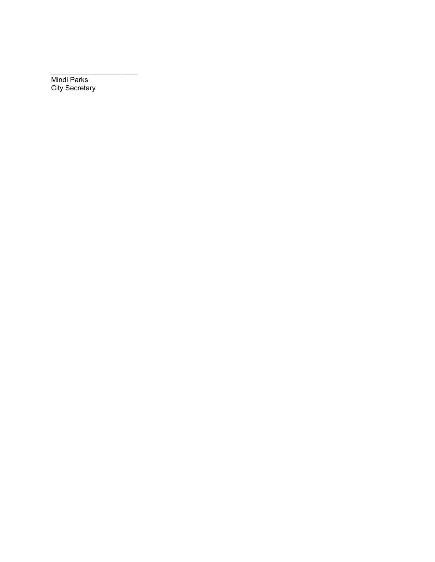Mindi Parks City Secretary

\_\_\_\_\_\_\_\_\_\_\_\_\_\_\_\_\_\_\_\_\_\_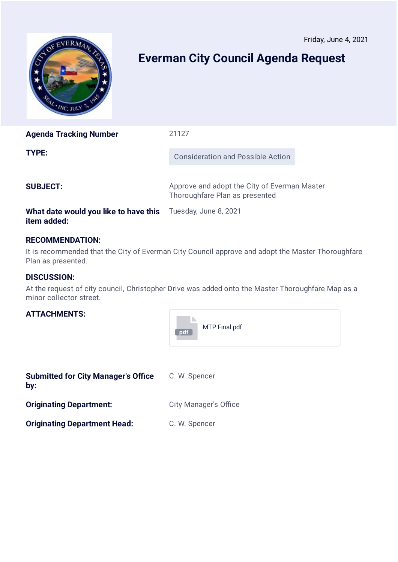<span id="page-11-0"></span>

# **Everman City Council Agenda Request**

| <b>Agenda Tracking Number</b> | 21127                                                                          |  |
|-------------------------------|--------------------------------------------------------------------------------|--|
| TYPE:                         | <b>Consideration and Possible Action</b>                                       |  |
| <b>SUBJECT:</b>               | Approve and adopt the City of Everman Master<br>Thoroughfare Plan as presented |  |

# **What date would you like to have this** Tuesday, June 8, 2021 **item added:**

# **RECOMMENDATION:**

It is recommended that the City of Everman City Council approve and adopt the Master Thoroughfare Plan as presented.

# **DISCUSSION:**

At the request of city council, Christopher Drive was added onto the Master Thoroughfare Map as a minor collector street.

# **ATTACHMENTS:**

| MTP Final.pdf<br>pdf |  |
|----------------------|--|
|----------------------|--|

| <b>Submitted for City Manager's Office</b><br>by: | C. W. Spencer                |
|---------------------------------------------------|------------------------------|
| <b>Originating Department:</b>                    | <b>City Manager's Office</b> |
| <b>Originating Department Head:</b>               | C. W. Spencer                |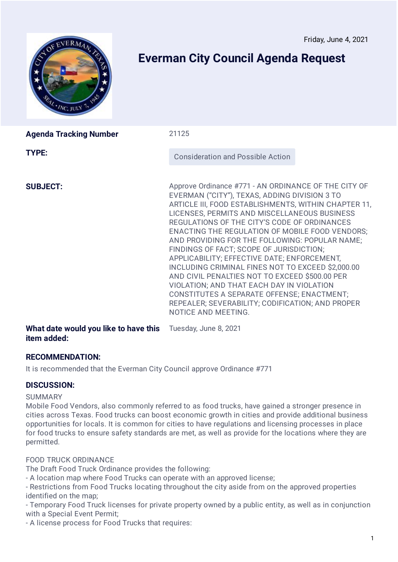<span id="page-12-0"></span>

# **Everman City Council Agenda Request**

| <b>Agenda Tracking Number</b> | 21125                                                                                                                                                                                                                                                                                                                                                                                                                                                                                                                                                                                                                                                                                                                                             |
|-------------------------------|---------------------------------------------------------------------------------------------------------------------------------------------------------------------------------------------------------------------------------------------------------------------------------------------------------------------------------------------------------------------------------------------------------------------------------------------------------------------------------------------------------------------------------------------------------------------------------------------------------------------------------------------------------------------------------------------------------------------------------------------------|
| TYPE:                         | <b>Consideration and Possible Action</b>                                                                                                                                                                                                                                                                                                                                                                                                                                                                                                                                                                                                                                                                                                          |
| <b>SUBJECT:</b>               | Approve Ordinance #771 - AN ORDINANCE OF THE CITY OF<br>EVERMAN ("CITY"), TEXAS, ADDING DIVISION 3 TO<br>ARTICLE III, FOOD ESTABLISHMENTS, WITHIN CHAPTER 11,<br>LICENSES, PERMITS AND MISCELLANEOUS BUSINESS<br>REGULATIONS OF THE CITY'S CODE OF ORDINANCES<br><b>ENACTING THE REGULATION OF MOBILE FOOD VENDORS;</b><br>AND PROVIDING FOR THE FOLLOWING: POPULAR NAME;<br>FINDINGS OF FACT; SCOPE OF JURISDICTION;<br>APPLICABILITY; EFFECTIVE DATE; ENFORCEMENT,<br>INCLUDING CRIMINAL FINES NOT TO EXCEED \$2,000.00<br>AND CIVIL PENALTIES NOT TO EXCEED \$500.00 PER<br>VIOLATION; AND THAT EACH DAY IN VIOLATION<br>CONSTITUTES A SEPARATE OFFENSE; ENACTMENT;<br>REPEALER; SEVERABILITY; CODIFICATION; AND PROPER<br>NOTICE AND MEETING. |

**What date would you like to have this** Tuesday, June 8, 2021 **item added:**

# **RECOMMENDATION:**

It is recommended that the Everman City Council approve Ordinance #771

# **DISCUSSION:**

## SUMMARY

Mobile Food Vendors, also commonly referred to as food trucks, have gained a stronger presence in cities across Texas. Food trucks can boost economic growth in cities and provide additional business opportunities for locals. It is common for cities to have regulations and licensing processes in place for food trucks to ensure safety standards are met, as well as provide for the locations where they are permitted.

# FOOD TRUCK ORDINANCE

The Draft Food Truck Ordinance provides the following:

- A location map where Food Trucks can operate with an approved license;

- Restrictions from Food Trucks locating throughout the city aside from on the approved properties identified on the map;

- Temporary Food Truck licenses for private property owned by a public entity, as well as in conjunction with a Special Event Permit;

- A license process for Food Trucks that requires: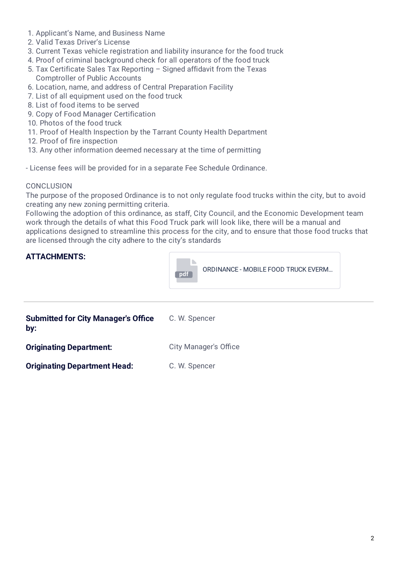- 1. Applicant's Name, and Business Name
- 2. Valid Texas Driver's License
- 3. Current Texas vehicle registration and liability insurance for the food truck
- 4. Proof of criminal background check for all operators of the food truck
- 5. Tax Certificate Sales Tax Reporting Signed affidavit from the Texas Comptroller of Public Accounts
- 6. Location, name, and address of Central Preparation Facility
- 7. List of all equipment used on the food truck
- 8. List of food items to be served
- 9. Copy of Food Manager Certification
- 10. Photos of the food truck
- 11. Proof of Health Inspection by the Tarrant County Health Department
- 12. Proof of fire inspection
- 13. Any other information deemed necessary at the time of permitting

- License fees will be provided for in a separate Fee Schedule Ordinance.

## CONCLUSION

The purpose of the proposed Ordinance is to not only regulate food trucks within the city, but to avoid creating any new zoning permitting criteria.

Following the adoption of this ordinance, as staff, City Council, and the Economic Development team work through the details of what this Food Truck park will look like, there will be a manual and applications designed to streamline this process for the city, and to ensure that those food trucks that are licensed through the city adhere to the city's standards

# **ATTACHMENTS:**



| <b>Submitted for City Manager's Office</b><br>by: | C. W. Spencer                |
|---------------------------------------------------|------------------------------|
| <b>Originating Department:</b>                    | <b>City Manager's Office</b> |
| <b>Originating Department Head:</b>               | C. W. Spencer                |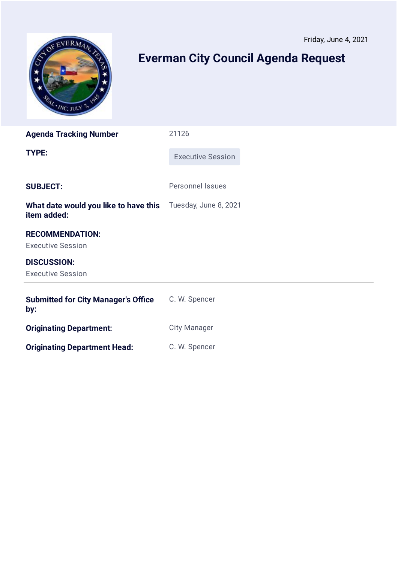<span id="page-14-0"></span>

# **Everman City Council Agenda Request**

| <b>Agenda Tracking Number</b>                        | 21126                    |  |
|------------------------------------------------------|--------------------------|--|
| <b>TYPE:</b>                                         | <b>Executive Session</b> |  |
| <b>SUBJECT:</b>                                      | <b>Personnel Issues</b>  |  |
| What date would you like to have this<br>item added: | Tuesday, June 8, 2021    |  |
| <b>RECOMMENDATION:</b><br><b>Executive Session</b>   |                          |  |
| <b>DISCUSSION:</b><br><b>Executive Session</b>       |                          |  |
| <b>Submitted for City Manager's Office</b><br>by:    | C. W. Spencer            |  |
| <b>Originating Department:</b>                       | <b>City Manager</b>      |  |
| <b>Originating Department Head:</b>                  | C. W. Spencer            |  |